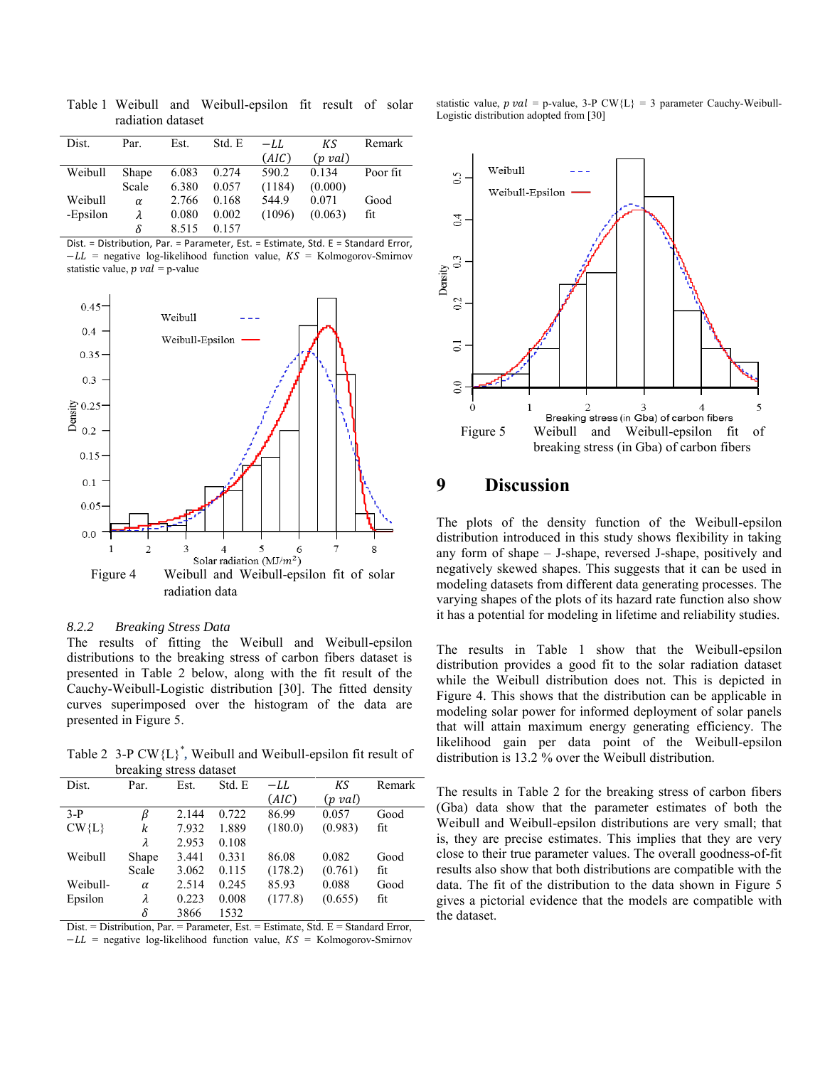Table 1 Weibull and Weibull-epsilon fit result of solar radiation dataset

| Dist.    | Par.  | Est.  | Std. E | $-LL$  | ΚS                | Remark   |
|----------|-------|-------|--------|--------|-------------------|----------|
|          |       |       |        | (AIC)  | $(p \text{ val})$ |          |
| Weibull  | Shape | 6.083 | 0.274  | 590.2  | 0.134             | Poor fit |
|          | Scale | 6.380 | 0.057  | (1184) | (0.000)           |          |
| Weibull  | α     | 2.766 | 0.168  | 544.9  | 0.071             | Good     |
| -Epsilon | λ     | 0.080 | 0.002  | (1096) | (0.063)           | fit      |
|          | δ     | 8.515 | 0.157  |        |                   |          |

Dist. = Distribution, Par. = Parameter, Est. = Estimate, Std. E = Standard Error,  $-LL$  = negative log-likelihood function value,  $KS$  = Kolmogorov-Smirnov statistic value,  $p \text{ val} = p$ -value



## *8.2.2 Breaking Stress Data*

The results of fitting the Weibull and Weibull-epsilon distributions to the breaking stress of carbon fibers dataset is presented in Table 2 below, along with the fit result of the Cauchy-Weibull-Logistic distribution [30]. The fitted density curves superimposed over the histogram of the data are presented in Figure 5.

Table 2  $3$ -P CW ${L}^*$ , Weibull and Weibull-epsilon fit result of breaking stress dataset

| Dist.    | Par.      | Est.  | Std. E | $-LL$   | ΚS      | Remark |
|----------|-----------|-------|--------|---------|---------|--------|
|          |           |       |        | (AIC)   | (p val) |        |
| $3-P$    | β         | 2.144 | 0.722  | 86.99   | 0.057   | Good   |
| $CW{L}$  | k         | 7.932 | 1.889  | (180.0) | (0.983) | fit    |
|          | λ         | 2.953 | 0.108  |         |         |        |
| Weibull  | Shape     | 3.441 | 0.331  | 86.08   | 0.082   | Good   |
|          | Scale     | 3.062 | 0.115  | (178.2) | (0.761) | fit    |
| Weibull- | α         | 2.514 | 0.245  | 85.93   | 0.088   | Good   |
| Epsilon  | $\lambda$ | 0.223 | 0.008  | (177.8) | (0.655) | fit    |
|          | δ         | 3866  | 1532   |         |         |        |

Dist. = Distribution, Par. = Parameter, Est. = Estimate, Std. E = Standard Error,  $-LL$  = negative log-likelihood function value,  $KS$  = Kolmogorov-Smirnov statistic value,  $p val = p-value$ , 3-P CW{L} = 3 parameter Cauchy-Weibull-Logistic distribution adopted from [30]



## **9 Discussion**

The plots of the density function of the Weibull-epsilon distribution introduced in this study shows flexibility in taking any form of shape – J-shape, reversed J-shape, positively and negatively skewed shapes. This suggests that it can be used in modeling datasets from different data generating processes. The varying shapes of the plots of its hazard rate function also show it has a potential for modeling in lifetime and reliability studies.

The results in Table 1 show that the Weibull-epsilon distribution provides a good fit to the solar radiation dataset while the Weibull distribution does not. This is depicted in Figure 4. This shows that the distribution can be applicable in modeling solar power for informed deployment of solar panels that will attain maximum energy generating efficiency. The likelihood gain per data point of the Weibull-epsilon distribution is 13.2 % over the Weibull distribution.

The results in Table 2 for the breaking stress of carbon fibers (Gba) data show that the parameter estimates of both the Weibull and Weibull-epsilon distributions are very small; that is, they are precise estimates. This implies that they are very close to their true parameter values. The overall goodness-of-fit results also show that both distributions are compatible with the data. The fit of the distribution to the data shown in Figure 5 gives a pictorial evidence that the models are compatible with the dataset.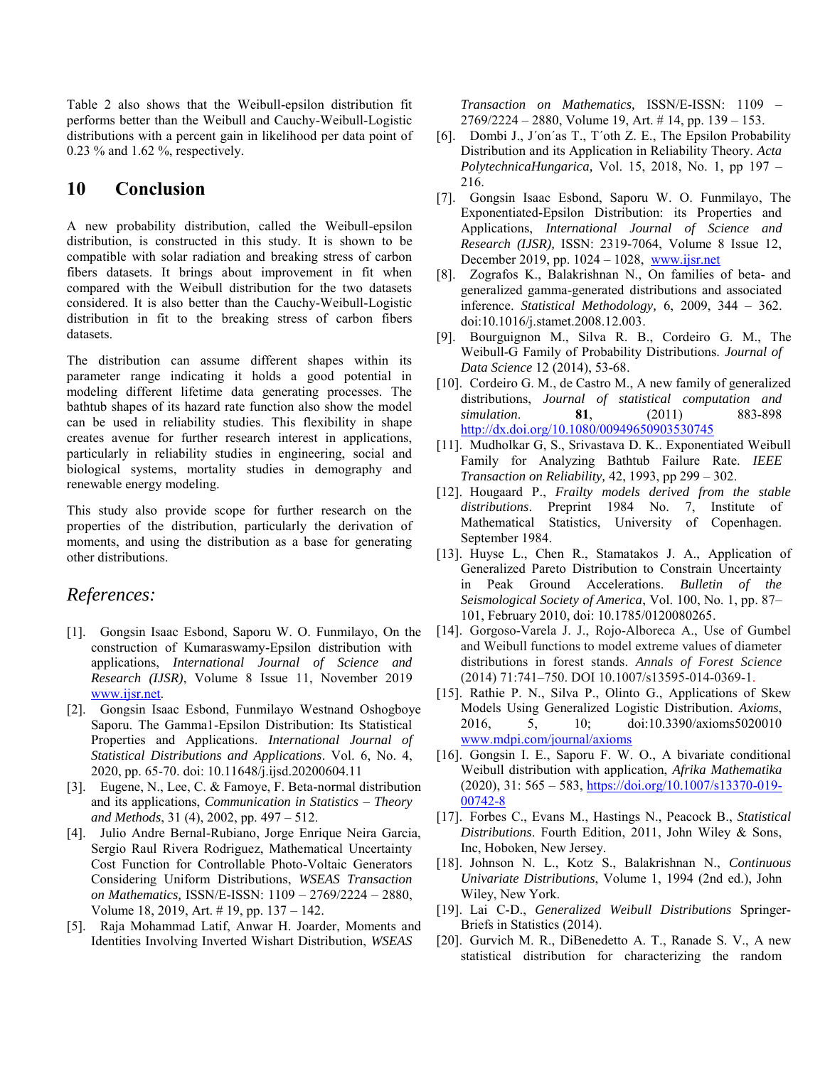Table 2 also shows that the Weibull-epsilon distribution fit performs better than the Weibull and Cauchy-Weibull-Logistic distributions with a percent gain in likelihood per data point of 0.23 % and 1.62 %, respectively.

## **10 Conclusion**

A new probability distribution, called the Weibull-epsilon distribution, is constructed in this study. It is shown to be compatible with solar radiation and breaking stress of carbon fibers datasets. It brings about improvement in fit when compared with the Weibull distribution for the two datasets considered. It is also better than the Cauchy-Weibull-Logistic distribution in fit to the breaking stress of carbon fibers datasets.

The distribution can assume different shapes within its parameter range indicating it holds a good potential in modeling different lifetime data generating processes. The bathtub shapes of its hazard rate function also show the model can be used in reliability studies. This flexibility in shape creates avenue for further research interest in applications, particularly in reliability studies in engineering, social and biological systems, mortality studies in demography and renewable energy modeling.

This study also provide scope for further research on the properties of the distribution, particularly the derivation of moments, and using the distribution as a base for generating other distributions.

## *References:*

- [1]. Gongsin Isaac Esbond, Saporu W. O. Funmilayo, On the construction of Kumaraswamy-Epsilon distribution with applications, *International Journal of Science and Research (IJSR)*, Volume 8 Issue 11, November 2019 [www.ijsr.net.](http://www.ijsr.net/)
- [2]. Gongsin Isaac Esbond, Funmilayo Westnand Oshogboye Saporu. The Gamma1-Epsilon Distribution: Its Statistical Properties and Applications. *International Journal of Statistical Distributions and Applications*. Vol. 6, No. 4, 2020, pp. 65-70. doi: 10.11648/j.ijsd.20200604.11
- [3]. Eugene, N., Lee, C. & Famoye, F. Beta-normal distribution and its applications, *Communication in Statistics – Theory and Methods*, 31 (4), 2002, pp. 497 – 512.
- [4]. Julio Andre Bernal-Rubiano, Jorge Enrique Neira Garcia, Sergio Raul Rivera Rodriguez, Mathematical Uncertainty Cost Function for Controllable Photo-Voltaic Generators Considering Uniform Distributions, *WSEAS Transaction on Mathematics,* ISSN/E-ISSN: 1109 – 2769/2224 – 2880, Volume 18, 2019, Art. # 19, pp. 137 – 142.
- [5]. Raja Mohammad Latif, Anwar H. Joarder, Moments and Identities Involving Inverted Wishart Distribution, *WSEAS*

*Transaction on Mathematics,* ISSN/E-ISSN: 1109 – 2769/2224 – 2880, Volume 19, Art. # 14, pp. 139 – 153.

- [6]. Dombi J., J´on´as T., T´oth Z. E., The Epsilon Probability Distribution and its Application in Reliability Theory. *Acta PolytechnicaHungarica,* Vol. 15, 2018, No. 1, pp 197 – 216.
- [7]. Gongsin Isaac Esbond, Saporu W. O. Funmilayo, The Exponentiated-Epsilon Distribution: its Properties and Applications, *International Journal of Science and Research (IJSR),* ISSN: 2319-7064, Volume 8 Issue 12, December 2019, pp. 1024 – 1028, [www.ijsr.net](http://www.ijsr.net/)
- [8]. Zografos K., Balakrishnan N., On families of beta- and generalized gamma-generated distributions and associated inference. *Statistical Methodology,* 6, 2009, 344 – 362. doi:10.1016/j.stamet.2008.12.003.
- [9]. Bourguignon M., Silva R. B., Cordeiro G. M., The Weibull-G Family of Probability Distributions. *Journal of Data Science* 12 (2014), 53-68.
- [10]. Cordeiro G. M., de Castro M., A new family of generalized distributions, *Journal of statistical computation and simulation*. **81**, (2011) 883-898 <http://dx.doi.org/10.1080/00949650903530745>
- [11]. Mudholkar G, S., Srivastava D. K.. Exponentiated Weibull Family for Analyzing Bathtub Failure Rate. *IEEE Transaction on Reliability,* 42, 1993, pp 299 – 302.
- [12]. Hougaard P., *Frailty models derived from the stable distributions*. Preprint 1984 No. 7, Institute of Mathematical Statistics, University of Copenhagen. September 1984.
- [13]. Huyse L., Chen R., Stamatakos J. A., Application of Generalized Pareto Distribution to Constrain Uncertainty in Peak Ground Accelerations. *Bulletin of the Seismological Society of America*, Vol. 100, No. 1, pp. 87– 101, February 2010, doi: 10.1785/0120080265.
- [14]. Gorgoso-Varela J. J., Rojo-Alboreca A., Use of Gumbel and Weibull functions to model extreme values of diameter distributions in forest stands. *Annals of Forest Science* (2014) 71:741–750. DOI 10.1007/s13595-014-0369-1.
- [15]. Rathie P. N., Silva P., Olinto G., Applications of Skew Models Using Generalized Logistic Distribution. *Axioms*, 2016, 5, 10; doi:10.3390/axioms5020010 [www.mdpi.com/journal/axioms](http://www.mdpi.com/journal/axioms)
- [16]. Gongsin I. E., Saporu F. W. O., A bivariate conditional Weibull distribution with application, *Afrika Mathematika*  (2020), 31: 565 – 583, [https://doi.org/10.1007/s13370-019-](https://doi.org/10.1007/s13370-019-00742-8) [00742-8](https://doi.org/10.1007/s13370-019-00742-8)
- [17]. Forbes C., Evans M., Hastings N., Peacock B., *Statistical Distributions*. Fourth Edition, 2011, John Wiley & Sons, Inc, Hoboken, New Jersey.
- [18]. Johnson N. L., Kotz S., Balakrishnan N., *Continuous Univariate Distributions*, Volume 1, 1994 (2nd ed.), John Wiley, New York.
- [19]. Lai C-D., *Generalized Weibull Distributions* Springer-Briefs in Statistics (2014).
- [20]. Gurvich M. R., DiBenedetto A. T., Ranade S. V., A new statistical distribution for characterizing the random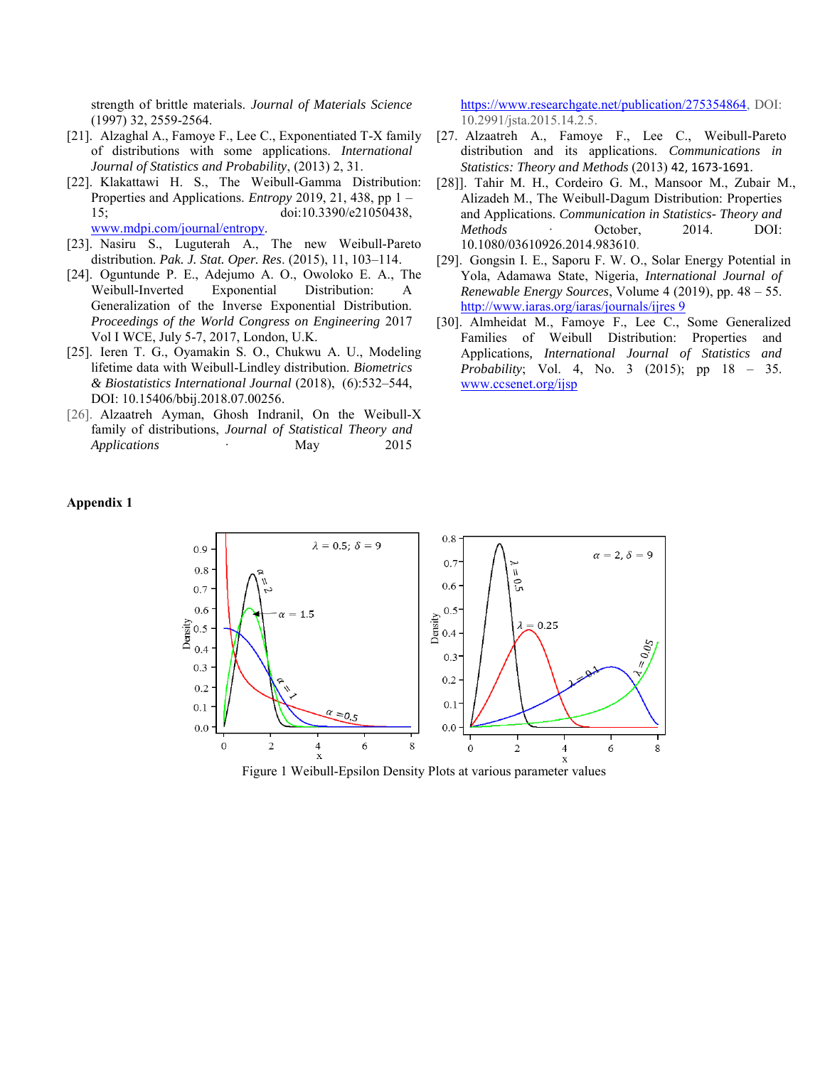strength of brittle materials. *Journal of Materials Science* (1997) 32, 2559-2564.

- [21]. Alzaghal A., Famoye F., Lee C., Exponentiated T-X family of distributions with some applications. *International Journal of Statistics and Probability*, (2013) 2, 31.
- [22]. Klakattawi H. S., The Weibull-Gamma Distribution: Properties and Applications. *Entropy* 2019, 21, 438, pp 1 – 15; doi:10.3390/e21050438, [www.mdpi.com/journal/entropy.](http://www.mdpi.com/journal/entropy)
- [23]. Nasiru S., Luguterah A., The new Weibull-Pareto distribution. *Pak. J. Stat. Oper. Res*. (2015), 11, 103–114.
- [24]. Oguntunde P. E., Adejumo A. O., Owoloko E. A., The Weibull-Inverted Exponential Distribution: A Generalization of the Inverse Exponential Distribution. *Proceedings of the World Congress on Engineering* 2017 Vol I WCE, July 5-7, 2017, London, U.K.
- [25]. Ieren T. G., Oyamakin S. O., Chukwu A. U., Modeling lifetime data with Weibull-Lindley distribution. *Biometrics & Biostatistics International Journal* (2018), (6):532‒544, DOI: 10.15406/bbij.2018.07.00256.
- [26]. Alzaatreh Ayman, Ghosh Indranil, On the Weibull-X family of distributions, *Journal of Statistical Theory and Applications* · May 2015

[https://www.researchgate.net/publication/275354864,](https://www.researchgate.net/publication/275354864) DOI: 10.2991/jsta.2015.14.2.5.

- [27. Alzaatreh A., Famoye F., Lee C., Weibull-Pareto distribution and its applications. *Communications in Statistics: Theory and Methods* (2013) 42, 1673-1691.
- [28]]. Tahir M. H., Cordeiro G. M., Mansoor M., Zubair M., Alizadeh M., The Weibull-Dagum Distribution: Properties and Applications. *Communication in Statistics- Theory and Methods* · October, 2014. DOI: 10.1080/03610926.2014.983610.
- [29]. Gongsin I. E., Saporu F. W. O., Solar Energy Potential in Yola, Adamawa State, Nigeria, *International Journal of Renewable Energy Sources*, Volume 4 (2019), pp. 48 – 55. [http://www.iaras.org/iaras/journals/ijres 9](http://www.iaras.org/iaras/journals/ijres%209)
- [30]. Almheidat M., Famoye F., Lee C., Some Generalized Families of Weibull Distribution: Properties and Applications*, International Journal of Statistics and Probability*; Vol. 4, No. 3 (2015); pp 18 – 35. [www.ccsenet.org/ijsp](http://www.ccsenet.org/ijsp)



**Appendix 1** 



Figure 1 Weibull-Epsilon Density Plots at various parameter values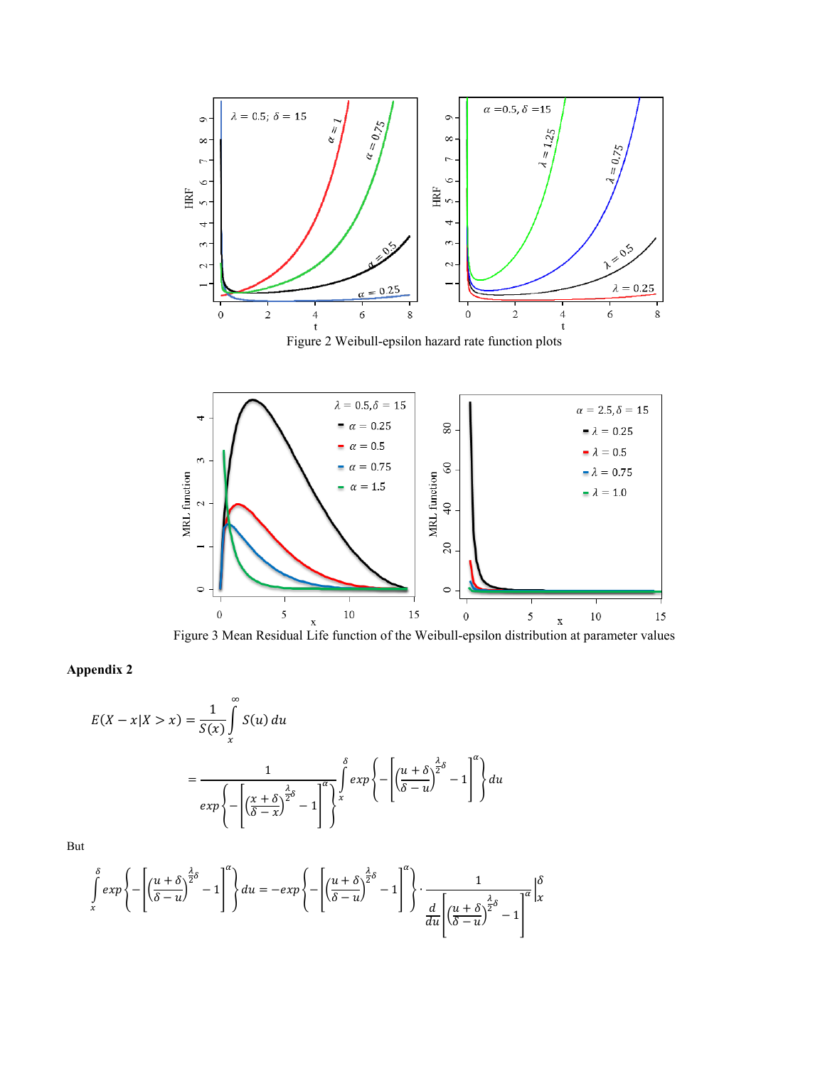



**Appendix 2** 

$$
E(X - x | X > x) = \frac{1}{S(x)} \int_{x}^{\infty} S(u) du
$$
  
= 
$$
\frac{1}{\exp\left\{-\left[\left(\frac{x + \delta}{\delta - x}\right)^{\frac{\lambda}{2}\delta} - 1\right]_{x}^{\infty}\right\}} \int_{x}^{\delta} exp\left\{-\left[\left(\frac{u + \delta}{\delta - u}\right)^{\frac{\lambda}{2}\delta} - 1\right]_{x}^{\infty}\right\} du
$$

But

$$
\int_{x}^{\delta} exp\left\{-\left[\left(\frac{u+\delta}{\delta-u}\right)^{\frac{\lambda}{2}\delta}-1\right]^{a}\right\} du = -exp\left\{-\left[\left(\frac{u+\delta}{\delta-u}\right)^{\frac{\lambda}{2}\delta}-1\right]^{a}\right\} \cdot \frac{1}{\frac{d}{du}\left[\left(\frac{u+\delta}{\delta-u}\right)^{\frac{\lambda}{2}\delta}-1\right]^{a}}\Big|_{x}^{\delta}
$$